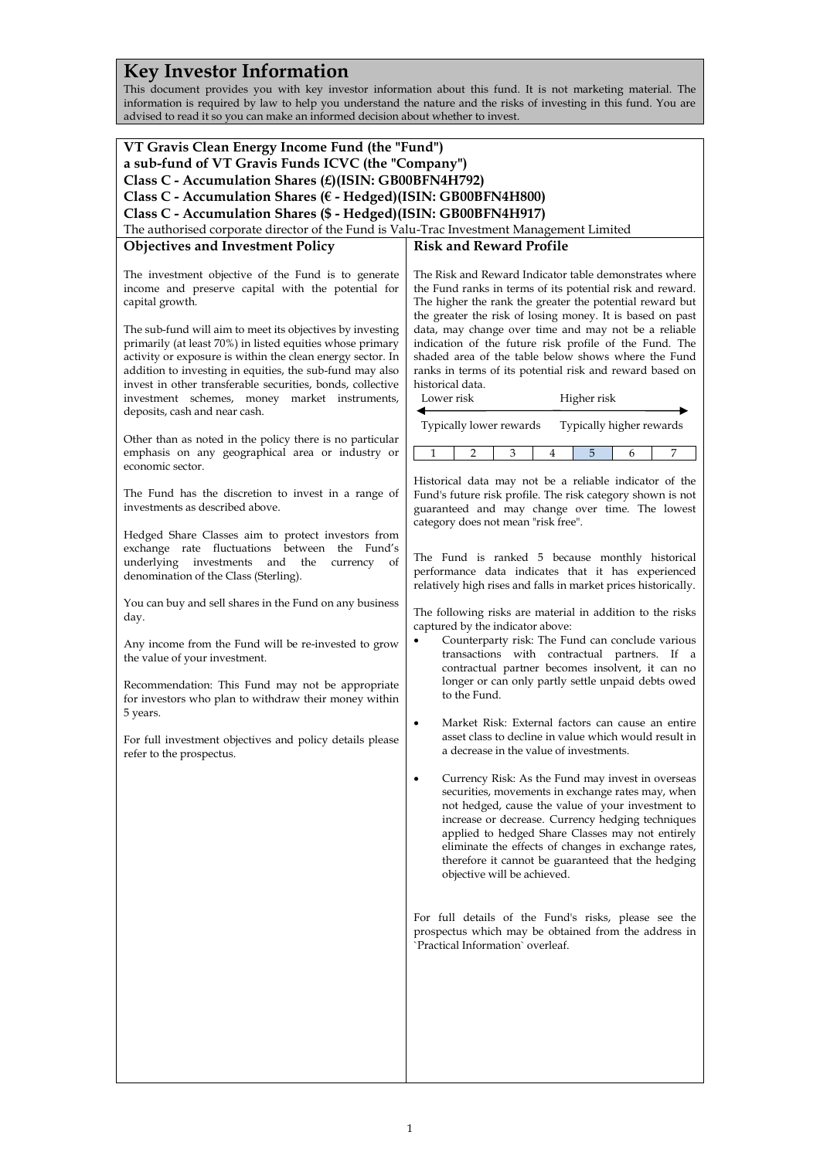# **Key Investor Information**

This document provides you with key investor information about this fund. It is not marketing material. The information is required by law to help you understand the nature and the risks of investing in this fund. You are advised to read it so you can make an informed decision about whether to invest.

| VT Gravis Clean Energy Income Fund (the "Fund")                                                                        |                                                                                                                |  |
|------------------------------------------------------------------------------------------------------------------------|----------------------------------------------------------------------------------------------------------------|--|
| a sub-fund of VT Gravis Funds ICVC (the "Company")                                                                     |                                                                                                                |  |
| Class C - Accumulation Shares (£)(ISIN: GB00BFN4H792)                                                                  |                                                                                                                |  |
| Class C - Accumulation Shares (€ - Hedged)(ISIN: GB00BFN4H800)                                                         |                                                                                                                |  |
| Class C - Accumulation Shares (\$ - Hedged)(ISIN: GB00BFN4H917)                                                        |                                                                                                                |  |
| The authorised corporate director of the Fund is Valu-Trac Investment Management Limited                               |                                                                                                                |  |
| <b>Objectives and Investment Policy</b>                                                                                | <b>Risk and Reward Profile</b>                                                                                 |  |
|                                                                                                                        |                                                                                                                |  |
| The investment objective of the Fund is to generate                                                                    | The Risk and Reward Indicator table demonstrates where                                                         |  |
| income and preserve capital with the potential for                                                                     | the Fund ranks in terms of its potential risk and reward.                                                      |  |
| capital growth.                                                                                                        | The higher the rank the greater the potential reward but                                                       |  |
|                                                                                                                        | the greater the risk of losing money. It is based on past                                                      |  |
| The sub-fund will aim to meet its objectives by investing<br>primarily (at least 70%) in listed equities whose primary | data, may change over time and may not be a reliable<br>indication of the future risk profile of the Fund. The |  |
| activity or exposure is within the clean energy sector. In                                                             | shaded area of the table below shows where the Fund                                                            |  |
| addition to investing in equities, the sub-fund may also                                                               | ranks in terms of its potential risk and reward based on                                                       |  |
| invest in other transferable securities, bonds, collective                                                             | historical data.                                                                                               |  |
| investment schemes, money market instruments,                                                                          | Lower risk<br>Higher risk                                                                                      |  |
| deposits, cash and near cash.                                                                                          |                                                                                                                |  |
|                                                                                                                        | Typically lower rewards<br>Typically higher rewards                                                            |  |
| Other than as noted in the policy there is no particular                                                               | 7<br>1<br>$\overline{2}$<br>3<br>5<br>6<br>4                                                                   |  |
| emphasis on any geographical area or industry or<br>economic sector.                                                   |                                                                                                                |  |
|                                                                                                                        | Historical data may not be a reliable indicator of the                                                         |  |
| The Fund has the discretion to invest in a range of                                                                    | Fund's future risk profile. The risk category shown is not                                                     |  |
| investments as described above.                                                                                        | guaranteed and may change over time. The lowest                                                                |  |
|                                                                                                                        | category does not mean "risk free".                                                                            |  |
| Hedged Share Classes aim to protect investors from                                                                     |                                                                                                                |  |
| exchange rate fluctuations between the Fund's<br>underlying investments and the<br>currency<br>of                      | The Fund is ranked 5 because monthly historical                                                                |  |
| denomination of the Class (Sterling).                                                                                  | performance data indicates that it has experienced                                                             |  |
|                                                                                                                        | relatively high rises and falls in market prices historically.                                                 |  |
| You can buy and sell shares in the Fund on any business                                                                |                                                                                                                |  |
| day.                                                                                                                   | The following risks are material in addition to the risks<br>captured by the indicator above:                  |  |
|                                                                                                                        | Counterparty risk: The Fund can conclude various<br>$\bullet$                                                  |  |
| Any income from the Fund will be re-invested to grow                                                                   | transactions with contractual partners. If a                                                                   |  |
| the value of your investment.                                                                                          | contractual partner becomes insolvent, it can no                                                               |  |
| Recommendation: This Fund may not be appropriate                                                                       | longer or can only partly settle unpaid debts owed                                                             |  |
| for investors who plan to withdraw their money within                                                                  | to the Fund.                                                                                                   |  |
| 5 years.                                                                                                               |                                                                                                                |  |
|                                                                                                                        | Market Risk: External factors can cause an entire<br>٠                                                         |  |
| For full investment objectives and policy details please                                                               | asset class to decline in value which would result in<br>a decrease in the value of investments.               |  |
| refer to the prospectus.                                                                                               |                                                                                                                |  |
|                                                                                                                        | Currency Risk: As the Fund may invest in overseas<br>٠                                                         |  |
|                                                                                                                        | securities, movements in exchange rates may, when                                                              |  |
|                                                                                                                        | not hedged, cause the value of your investment to                                                              |  |
|                                                                                                                        | increase or decrease. Currency hedging techniques                                                              |  |
|                                                                                                                        | applied to hedged Share Classes may not entirely                                                               |  |
|                                                                                                                        | eliminate the effects of changes in exchange rates,<br>therefore it cannot be guaranteed that the hedging      |  |
|                                                                                                                        | objective will be achieved.                                                                                    |  |
|                                                                                                                        |                                                                                                                |  |
|                                                                                                                        |                                                                                                                |  |
|                                                                                                                        | For full details of the Fund's risks, please see the                                                           |  |
|                                                                                                                        | prospectus which may be obtained from the address in                                                           |  |
|                                                                                                                        | 'Practical Information' overleaf.                                                                              |  |
|                                                                                                                        |                                                                                                                |  |
|                                                                                                                        |                                                                                                                |  |
|                                                                                                                        |                                                                                                                |  |
|                                                                                                                        |                                                                                                                |  |
|                                                                                                                        |                                                                                                                |  |
|                                                                                                                        |                                                                                                                |  |
|                                                                                                                        |                                                                                                                |  |